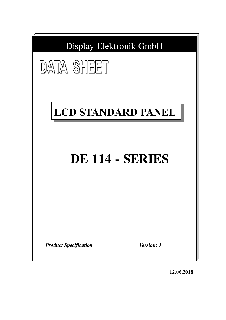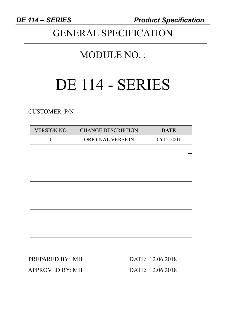*DE 114 – SERIES Product Specification* 

# GENERAL SPECIFICATION

# MODULE NO. :

# DE 114 - SERIES

CUSTOMER P/N

| VERSION NO. | <b>CHANGE DESCRIPTION</b> | <b>DATE</b> |
|-------------|---------------------------|-------------|
| $\theta$    | ORIGINAL VERSION          | 06.12.2001  |
|             |                           |             |
|             |                           |             |
|             |                           |             |
|             |                           |             |
|             |                           |             |
|             |                           |             |
|             |                           |             |
|             |                           |             |
|             |                           |             |
|             |                           |             |

PREPARED BY: MH DATE: 12.06.2018 APPROVED BY: MH DATE: 12.06.2018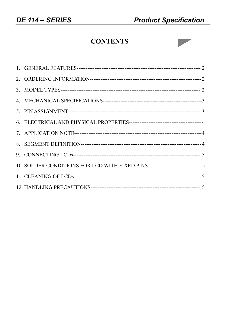# **CONTENTS**

| 10. SOLDER CONDITIONS FOR LCD WITH FIXED PINS------------------------------ 5 |  |
|-------------------------------------------------------------------------------|--|
|                                                                               |  |
|                                                                               |  |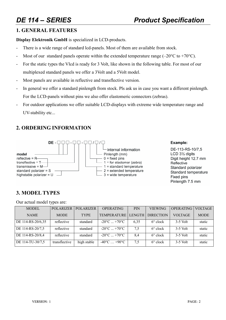### **1. GENERAL FEATURES**

**Display Elektronik GmbH** is specialized in LCD-products.

- There is a wide range of standard lcd-panels. Most of them are available from stock.
- Most of our standard panels operate within the extended temperature range  $(-20^{\circ}C \text{ to } +70^{\circ}C)$ .
- For the static types the Vlcd is ready for 3 Volt, like shown in the following table. For most of our multiplexed standard panels we offer a 3Volt and a 5Volt model.
- Most panels are available in reflective and transflective version.
- In general we offer a standard pinlength from stock. Pls ask us in case you want a different pinlength. For the LCD-panels without pins we also offer elastomeric connectors (zebras).
- For outdoor applications we offer suitable LCD-displays with extreme wide temperature range and UV-stability etc...

# **2. ORDERING INFORMATION**



### Example:

DE-113-RS-10/7.5 LCD 31/2 digits Digit height 12.7 mm Reflective Standard polarizer Standard temperature Fixed pins Pinlength 7.5 mm

# **3. MODEL TYPES**

Our actual model types are:

| <b>MODEL</b>      | <b>POLARIZER</b> | <b>POLARIZER</b> | <b>OPERATING</b>                    | <b>PIN</b>    | <b>VIEWING</b>    | <b>OPERATING</b> | <b>VOLTAGE</b> |
|-------------------|------------------|------------------|-------------------------------------|---------------|-------------------|------------------|----------------|
| <b>NAME</b>       | <b>MODE</b>      | <b>TYPE</b>      | <b>TEMPERATURE</b>                  | <b>LENGTH</b> | <b>DIRECTION</b>  | <b>VOLTAGE</b>   | <b>MODE</b>    |
| DE 114-RS-20/6,35 | reflective       | standard         | $-20^{\circ}$ C $+70^{\circ}$ C     | 6,35          | $6^{\circ}$ clock | $3-5$ Volt       | static         |
| DE 114-RS-20/7,5  | reflective       | standard         | $-20^{\circ}$ C  +70 $^{\circ}$ C . | 7,5           | $6^{\circ}$ clock | $3-5$ Volt       | static         |
| DE 114-RS-20/8,4  | reflective       | standard         | $-20^{\circ}$ C  +70 $^{\circ}$ C . | 8,4           | $6^{\circ}$ clock | $3-5$ Volt       | static         |
| DE 114-TU-30/7,5  | transflective    | high stable      | $-40^{\circ}$ C  +90 $^{\circ}$ C   | 7,5           | $6^{\circ}$ clock | $3-5$ Volt       | static         |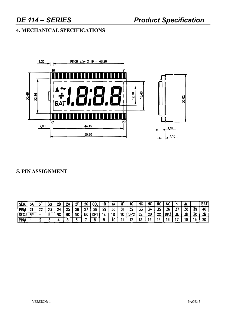# DE 114 - SERIES

# **4. MECHANICAL SPECIFICATIONS**



# 5. PIN ASSIGNMENT

| SEG.  | 3,  |     | 36                     | 28        |    | -95 | ne.<br>دا  | Col | 18        |    |           | ١G         | NC      | NC | NC | NC  | m              |    |    | <b>BAT</b> |
|-------|-----|-----|------------------------|-----------|----|-----|------------|-----|-----------|----|-----------|------------|---------|----|----|-----|----------------|----|----|------------|
| PIN   | -14 | a.c | <b>AN 19</b><br>$\sim$ | 24<br>. . | 25 | 26  | -07<br>. . | 28  | no.<br>43 | 30 | . .<br>w. | רד<br>JZ   | ١T<br>- |    | 35 | 36  | --<br>$\cdots$ | 38 | 39 | 40         |
| [SEG. | θP  |     |                        | NC        | NC | MC. | <b>NC</b>  | DP1 |           | 10 | -10       | በቦኃ        | 2E      | 20 | ሳሳ | DP. | ₹Γ<br>◡        | 30 | 70 | 38         |
| PINA  |     |     |                        |           |    |     |            |     |           |    |           | . .<br>. . |         |    |    |     |                | שו |    | 20         |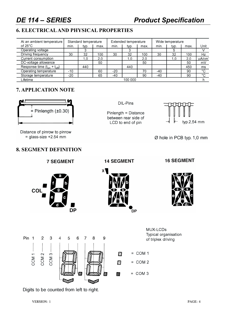# *DE 114 – SERIES Product Specification*

# **6. ELECTRICALAND PHYSICAL PROPERTIES**

| At an ambient temperature          |       | Standard temperature |      |      | Extended temperature |      | Wide temperature |      |      |             |
|------------------------------------|-------|----------------------|------|------|----------------------|------|------------------|------|------|-------------|
| of $25^{\circ}$ C                  | min.  | typ.                 | max. | min. | typ.                 | max. | min.             | typ. | max. | Unit        |
| Operating voltage                  |       |                      |      |      |                      |      |                  | b    |      |             |
| Driving frequency                  | 30    | 32                   | 100  | 30   | 32                   | 100  | 30               | 32   | 100  | Hz          |
| Current consumption                |       | 1.0                  | 2.0  |      | 1.0                  | 2.0  |                  | 1.0  | 2.0  | uA/cm       |
| DC-voltage allowance               |       |                      | 50   |      |                      | 50   |                  |      | 50   | mV          |
| Response time $(t_{on} + t_{off})$ |       | 440                  |      |      | 440                  |      |                  |      | 450  | ms          |
| Operating temperature              | -10   |                      | 60   | -20  |                      | 70   | -40              |      | 90   | $^{\circ}C$ |
| Storage temperature                | $-20$ |                      | 65   | -40  |                      | 90   | $-40$            |      | 90   | $\circ$     |
| Lifetime                           |       |                      |      |      | 100 000              |      |                  |      |      |             |

# **7. APPLICATION NOTE**



Distance of pinrow to pinrow  $=$  glass-size +2.54 mm

### DIL-Pins

Pinlength = Distance between rear side of LCD to end of pin



Ø hole in PCB typ. 1,0 mm

# **8. SEGMENT DEFINITION**

**7 SEGMENT** 



**14 SEGMENT** 



**16 SEGMENT** 



MUX-LCDs Typical organisation Pin 1  $\overline{2}$ 3  $\overline{4}$ 5 6  $\overline{7}$ 8 9 of triplex driving  $=$  COM 1 COM<sub>1</sub>  $COM2$ COM  $3 -$ Ø  $=$  COM 2 N  $=$  COM 3 鰯 × لسيجا

Digits to be counted from left to right.

VERSION: 1 PAGE: 4